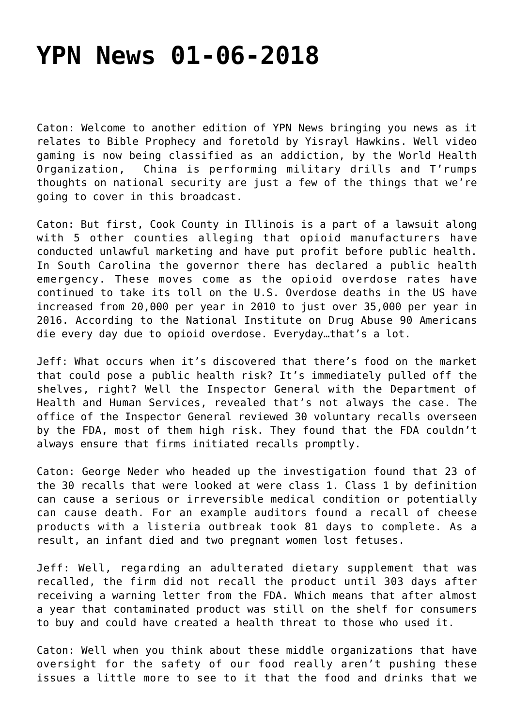## **[YPN News 01-06-2018](https://yahwehsbranch.com/ypn-news-01-06-2018/)**

Caton: Welcome to another edition of YPN News bringing you news as it relates to Bible Prophecy and foretold by Yisrayl Hawkins. Well video gaming is now being classified as an addiction, by the World Health Organization, China is performing military drills and T'rumps thoughts on national security are just a few of the things that we're going to cover in this broadcast.

Caton: But first, Cook County in Illinois is a part of a lawsuit along with 5 other counties alleging that opioid manufacturers have conducted unlawful marketing and have put profit before public health. In South Carolina the governor there has declared a public health emergency. These moves come as the opioid overdose rates have continued to take its toll on the U.S. Overdose deaths in the US have increased from 20,000 per year in 2010 to just over 35,000 per year in 2016. According to the National Institute on Drug Abuse 90 Americans die every day due to opioid overdose. Everyday…that's a lot.

Jeff: What occurs when it's discovered that there's food on the market that could pose a public health risk? It's immediately pulled off the shelves, right? Well the Inspector General with the Department of Health and Human Services, revealed that's not always the case. The office of the Inspector General reviewed 30 voluntary recalls overseen by the FDA, most of them high risk. They found that the FDA couldn't always ensure that firms initiated recalls promptly.

Caton: George Neder who headed up the investigation found that 23 of the 30 recalls that were looked at were class 1. Class 1 by definition can cause a serious or irreversible medical condition or potentially can cause death. For an example auditors found a recall of cheese products with a listeria outbreak took 81 days to complete. As a result, an infant died and two pregnant women lost fetuses.

Jeff: Well, regarding an adulterated dietary supplement that was recalled, the firm did not recall the product until 303 days after receiving a warning letter from the FDA. Which means that after almost a year that contaminated product was still on the shelf for consumers to buy and could have created a health threat to those who used it.

Caton: Well when you think about these middle organizations that have oversight for the safety of our food really aren't pushing these issues a little more to see to it that the food and drinks that we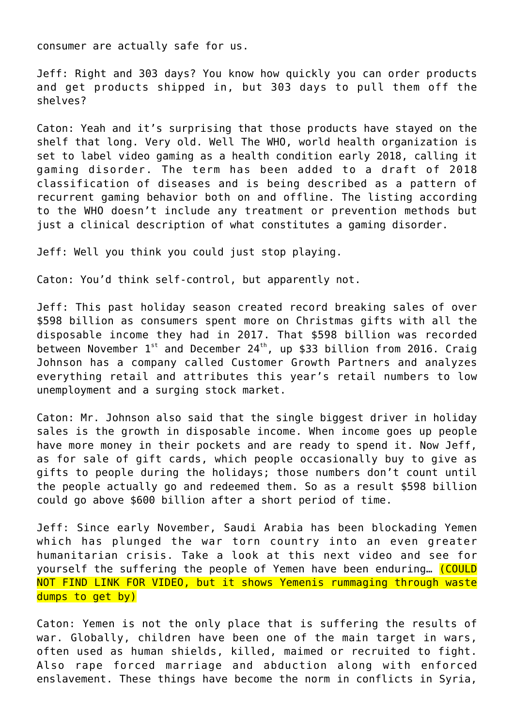consumer are actually safe for us.

Jeff: Right and 303 days? You know how quickly you can order products and get products shipped in, but 303 days to pull them off the shelves?

Caton: Yeah and it's surprising that those products have stayed on the shelf that long. Very old. Well The WHO, world health organization is set to label video gaming as a health condition early 2018, calling it gaming disorder. The term has been added to a draft of 2018 classification of diseases and is being described as a pattern of recurrent gaming behavior both on and offline. The listing according to the WHO doesn't include any treatment or prevention methods but just a clinical description of what constitutes a gaming disorder.

Jeff: Well you think you could just stop playing.

Caton: You'd think self-control, but apparently not.

Jeff: This past holiday season created record breaking sales of over \$598 billion as consumers spent more on Christmas gifts with all the disposable income they had in 2017. That \$598 billion was recorded between November  $1^{st}$  and December 24<sup>th</sup>, up \$33 billion from 2016. Craig Johnson has a company called Customer Growth Partners and analyzes everything retail and attributes this year's retail numbers to low unemployment and a surging stock market.

Caton: Mr. Johnson also said that the single biggest driver in holiday sales is the growth in disposable income. When income goes up people have more money in their pockets and are ready to spend it. Now Jeff, as for sale of gift cards, which people occasionally buy to give as gifts to people during the holidays; those numbers don't count until the people actually go and redeemed them. So as a result \$598 billion could go above \$600 billion after a short period of time.

Jeff: Since early November, Saudi Arabia has been blockading Yemen which has plunged the war torn country into an even greater humanitarian crisis. Take a look at this next video and see for yourself the suffering the people of Yemen have been enduring... (COULD NOT FIND LINK FOR VIDEO, but it shows Yemenis rummaging through waste dumps to get by)

Caton: Yemen is not the only place that is suffering the results of war. Globally, children have been one of the main target in wars, often used as human shields, killed, maimed or recruited to fight. Also rape forced marriage and abduction along with enforced enslavement. These things have become the norm in conflicts in Syria,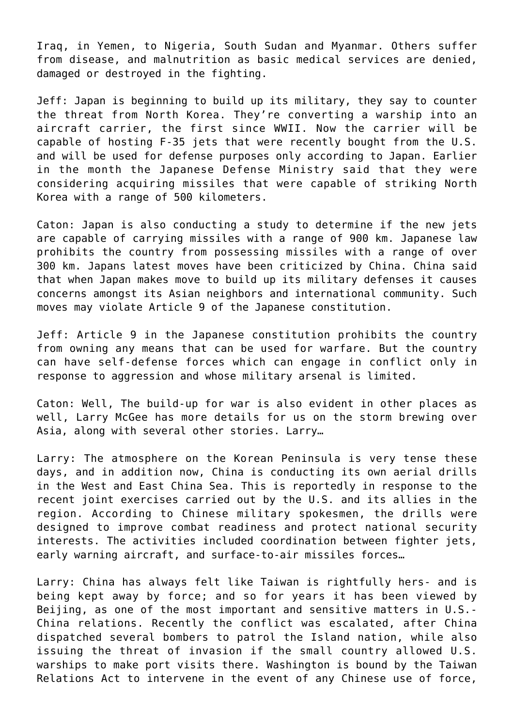Iraq, in Yemen, to Nigeria, South Sudan and Myanmar. Others suffer from disease, and malnutrition as basic medical services are denied, damaged or destroyed in the fighting.

Jeff: Japan is beginning to build up its military, they say to counter the threat from North Korea. They're converting a warship into an aircraft carrier, the first since WWII. Now the carrier will be capable of hosting F-35 jets that were recently bought from the U.S. and will be used for defense purposes only according to Japan. Earlier in the month the Japanese Defense Ministry said that they were considering acquiring missiles that were capable of striking North Korea with a range of 500 kilometers.

Caton: Japan is also conducting a study to determine if the new jets are capable of carrying missiles with a range of 900 km. Japanese law prohibits the country from possessing missiles with a range of over 300 km. Japans latest moves have been criticized by China. China said that when Japan makes move to build up its military defenses it causes concerns amongst its Asian neighbors and international community. Such moves may violate Article 9 of the Japanese constitution.

Jeff: Article 9 in the Japanese constitution prohibits the country from owning any means that can be used for warfare. But the country can have self-defense forces which can engage in conflict only in response to aggression and whose military arsenal is limited.

Caton: Well, The build-up for war is also evident in other places as well, Larry McGee has more details for us on the storm brewing over Asia, along with several other stories. Larry…

Larry: The atmosphere on the Korean Peninsula is very tense these days, and in addition now, China is conducting its own aerial drills in the West and East China Sea. This is reportedly in response to the recent joint exercises carried out by the U.S. and its allies in the region. According to Chinese military spokesmen, the drills were designed to improve combat readiness and protect national security interests. The activities included coordination between fighter jets, early warning aircraft, and surface-to-air missiles forces…

Larry: China has always felt like Taiwan is rightfully hers- and is being kept away by force; and so for years it has been viewed by Beijing, as one of the most important and sensitive matters in U.S.- China relations. Recently the conflict was escalated, after China dispatched several bombers to patrol the Island nation, while also issuing the threat of invasion if the small country allowed U.S. warships to make port visits there. Washington is bound by the Taiwan Relations Act to intervene in the event of any Chinese use of force,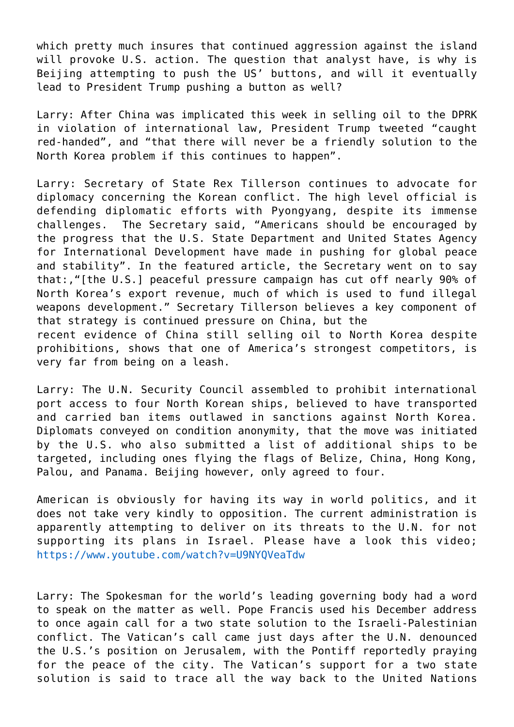which pretty much insures that continued aggression against the island will provoke U.S. action. The question that analyst have, is why is Beijing attempting to push the US' buttons, and will it eventually lead to President Trump pushing a button as well?

Larry: After China was implicated this week in selling oil to the DPRK in violation of international law, President Trump tweeted "caught red-handed", and "that there will never be a friendly solution to the North Korea problem if this continues to happen".

Larry: Secretary of State Rex Tillerson continues to advocate for diplomacy concerning the Korean conflict. The high level official is defending diplomatic efforts with Pyongyang, despite its immense challenges. The Secretary said, "Americans should be encouraged by the progress that the U.S. State Department and United States Agency for International Development have made in pushing for global peace and stability". In the featured article, the Secretary went on to say that:,"[the U.S.] peaceful pressure campaign has cut off nearly 90% of North Korea's export revenue, much of which is used to fund illegal weapons development." Secretary Tillerson believes a key component of that strategy is continued pressure on China, but the recent evidence of China still selling oil to North Korea despite prohibitions, shows that one of America's strongest competitors, is very far from being on a leash.

Larry: The U.N. Security Council assembled to prohibit international port access to four North Korean ships, believed to have transported and carried ban items outlawed in sanctions against North Korea. Diplomats conveyed on condition anonymity, that the move was initiated by the U.S. who also submitted a list of additional ships to be targeted, including ones flying the flags of Belize, China, Hong Kong, Palou, and Panama. Beijing however, only agreed to four.

American is obviously for having its way in world politics, and it does not take very kindly to opposition. The current administration is apparently attempting to deliver on its threats to the U.N. for not supporting its plans in Israel. Please have a look this video; <https://www.youtube.com/watch?v=U9NYQVeaTdw>

Larry: The Spokesman for the world's leading governing body had a word to speak on the matter as well. Pope Francis used his December address to once again call for a two state solution to the Israeli-Palestinian conflict. The Vatican's call came just days after the U.N. denounced the U.S.'s position on Jerusalem, with the Pontiff reportedly praying for the peace of the city. The Vatican's support for a two state solution is said to trace all the way back to the United Nations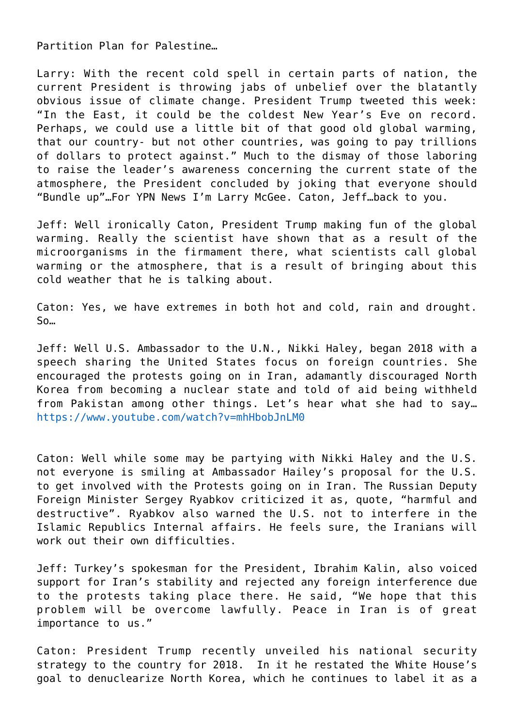Partition Plan for Palestine…

Larry: With the recent cold spell in certain parts of nation, the current President is throwing jabs of unbelief over the blatantly obvious issue of climate change. President Trump tweeted this week: "In the East, it could be the coldest New Year's Eve on record. Perhaps, we could use a little bit of that good old global warming, that our country- but not other countries, was going to pay trillions of dollars to protect against." Much to the dismay of those laboring to raise the leader's awareness concerning the current state of the atmosphere, the President concluded by joking that everyone should "Bundle up"…For YPN News I'm Larry McGee. Caton, Jeff…back to you.

Jeff: Well ironically Caton, President Trump making fun of the global warming. Really the scientist have shown that as a result of the microorganisms in the firmament there, what scientists call global warming or the atmosphere, that is a result of bringing about this cold weather that he is talking about.

Caton: Yes, we have extremes in both hot and cold, rain and drought. So…

Jeff: Well U.S. Ambassador to the U.N., Nikki Haley, began 2018 with a speech sharing the United States focus on foreign countries. She encouraged the protests going on in Iran, adamantly discouraged North Korea from becoming a nuclear state and told of aid being withheld from Pakistan among other things. Let's hear what she had to say… <https://www.youtube.com/watch?v=mhHbobJnLM0>

Caton: Well while some may be partying with Nikki Haley and the U.S. not everyone is smiling at Ambassador Hailey's proposal for the U.S. to get involved with the Protests going on in Iran. The Russian Deputy Foreign Minister Sergey Ryabkov criticized it as, quote, "harmful and destructive". Ryabkov also warned the U.S. not to interfere in the Islamic Republics Internal affairs. He feels sure, the Iranians will work out their own difficulties.

Jeff: Turkey's spokesman for the President, Ibrahim Kalin, also voiced support for Iran's stability and rejected any foreign interference due to the protests taking place there. He said, "We hope that this problem will be overcome lawfully. Peace in Iran is of great importance to us."

Caton: President Trump recently unveiled his national security strategy to the country for 2018. In it he restated the White House's goal to denuclearize North Korea, which he continues to label it as a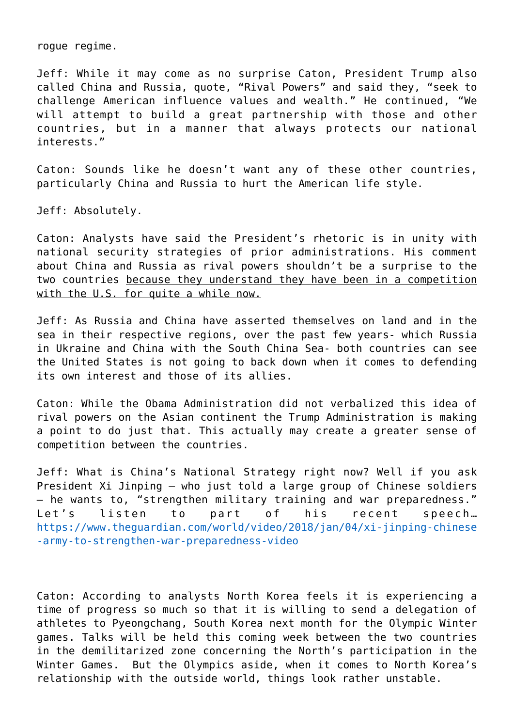rogue regime.

Jeff: While it may come as no surprise Caton, President Trump also called China and Russia, quote, "Rival Powers" and said they, "seek to challenge American influence values and wealth." He continued, "We will attempt to build a great partnership with those and other countries, but in a manner that always protects our national interests."

Caton: Sounds like he doesn't want any of these other countries, particularly China and Russia to hurt the American life style.

Jeff: Absolutely.

Caton: Analysts have said the President's rhetoric is in unity with national security strategies of prior administrations. His comment about China and Russia as rival powers shouldn't be a surprise to the two countries because they understand they have been in a competition with the U.S. for quite a while now.

Jeff: As Russia and China have asserted themselves on land and in the sea in their respective regions, over the past few years- which Russia in Ukraine and China with the South China Sea- both countries can see the United States is not going to back down when it comes to defending its own interest and those of its allies.

Caton: While the Obama Administration did not verbalized this idea of rival powers on the Asian continent the Trump Administration is making a point to do just that. This actually may create a greater sense of competition between the countries.

Jeff: What is China's National Strategy right now? Well if you ask President Xi Jinping – who just told a large group of Chinese soldiers – he wants to, "strengthen military training and war preparedness." Let's listen to part of his recent speech... [https://www.theguardian.com/world/video/2018/jan/04/xi-jinping-chinese](https://www.theguardian.com/world/video/2018/jan/04/xi-jinping-chinese-army-to-strengthen-war-preparedness-video) [-army-to-strengthen-war-preparedness-video](https://www.theguardian.com/world/video/2018/jan/04/xi-jinping-chinese-army-to-strengthen-war-preparedness-video)

Caton: According to analysts North Korea feels it is experiencing a time of progress so much so that it is willing to send a delegation of athletes to Pyeongchang, South Korea next month for the Olympic Winter games. Talks will be held this coming week between the two countries in the demilitarized zone concerning the North's participation in the Winter Games. But the Olympics aside, when it comes to North Korea's relationship with the outside world, things look rather unstable.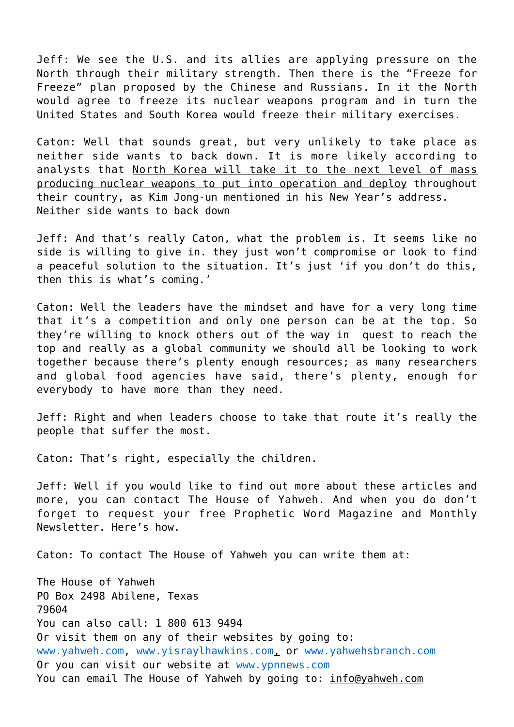Jeff: We see the U.S. and its allies are applying pressure on the North through their military strength. Then there is the "Freeze for Freeze" plan proposed by the Chinese and Russians. In it the North would agree to freeze its nuclear weapons program and in turn the United States and South Korea would freeze their military exercises.

Caton: Well that sounds great, but very unlikely to take place as neither side wants to back down. It is more likely according to analysts that North Korea will take it to the next level of mass producing nuclear weapons to put into operation and deploy throughout their country, as Kim Jong-un mentioned in his New Year's address. Neither side wants to back down

Jeff: And that's really Caton, what the problem is. It seems like no side is willing to give in. they just won't compromise or look to find a peaceful solution to the situation. It's just 'if you don't do this, then this is what's coming.'

Caton: Well the leaders have the mindset and have for a very long time that it's a competition and only one person can be at the top. So they're willing to knock others out of the way in quest to reach the top and really as a global community we should all be looking to work together because there's plenty enough resources; as many researchers and global food agencies have said, there's plenty, enough for everybody to have more than they need.

Jeff: Right and when leaders choose to take that route it's really the people that suffer the most.

Caton: That's right, especially the children.

Jeff: Well if you would like to find out more about these articles and more, you can contact The House of Yahweh. And when you do don't forget to request your free Prophetic Word Magazine and Monthly Newsletter. Here's how.

Caton: To contact The House of Yahweh you can write them at:

The House of Yahweh PO Box 2498 Abilene, Texas 79604 You can also call: 1 800 613 9494 Or visit them on any of their websites by going to: [www.yahweh.com,](http://www.yahweh.com/) [www.yisraylhawkins.com](http://www.yisraylhawkins.com/), or [www.yahwehsbranch.com](http://www.yahwehsbranch.com/) Or you can visit our website at [www.ypnnews.com](http://www.ypnnews.com/) You can email The House of Yahweh by going to: info@yahweh.com